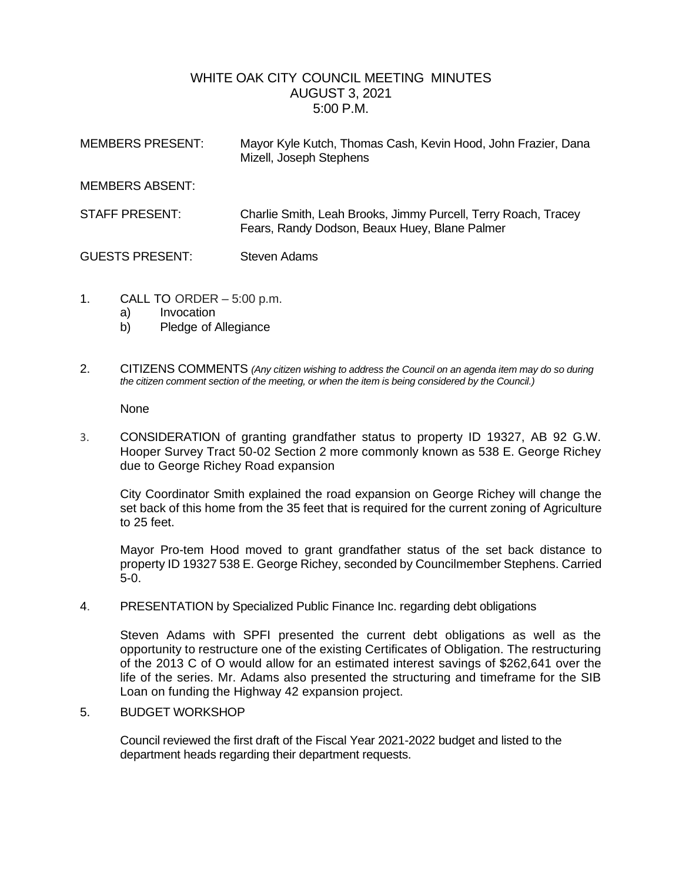## WHITE OAK CITY COUNCIL MEETING MINUTES AUGUST 3, 2021 5:00 P.M.

| <b>MEMBERS PRESENT:</b> | Mayor Kyle Kutch, Thomas Cash, Kevin Hood, John Frazier, Dana<br>Mizell, Joseph Stephens                        |
|-------------------------|-----------------------------------------------------------------------------------------------------------------|
| <b>MEMBERS ABSENT:</b>  |                                                                                                                 |
| <b>STAFF PRESENT:</b>   | Charlie Smith, Leah Brooks, Jimmy Purcell, Terry Roach, Tracey<br>Fears, Randy Dodson, Beaux Huey, Blane Palmer |
| <b>GUESTS PRESENT:</b>  | <b>Steven Adams</b>                                                                                             |

- 1. CALL TO ORDER 5:00 p.m.
	- a) Invocation
	- b) Pledge of Allegiance
- 2. CITIZENS COMMENTS *(Any citizen wishing to address the Council on an agenda item may do so during the citizen comment section of the meeting, or when the item is being considered by the Council.)*

None

3. CONSIDERATION of granting grandfather status to property ID 19327, AB 92 G.W. Hooper Survey Tract 50-02 Section 2 more commonly known as 538 E. George Richey due to George Richey Road expansion

City Coordinator Smith explained the road expansion on George Richey will change the set back of this home from the 35 feet that is required for the current zoning of Agriculture to 25 feet.

Mayor Pro-tem Hood moved to grant grandfather status of the set back distance to property ID 19327 538 E. George Richey, seconded by Councilmember Stephens. Carried 5-0.

4. PRESENTATION by Specialized Public Finance Inc. regarding debt obligations

Steven Adams with SPFI presented the current debt obligations as well as the opportunity to restructure one of the existing Certificates of Obligation. The restructuring of the 2013 C of O would allow for an estimated interest savings of \$262,641 over the life of the series. Mr. Adams also presented the structuring and timeframe for the SIB Loan on funding the Highway 42 expansion project.

5. BUDGET WORKSHOP

Council reviewed the first draft of the Fiscal Year 2021-2022 budget and listed to the department heads regarding their department requests.